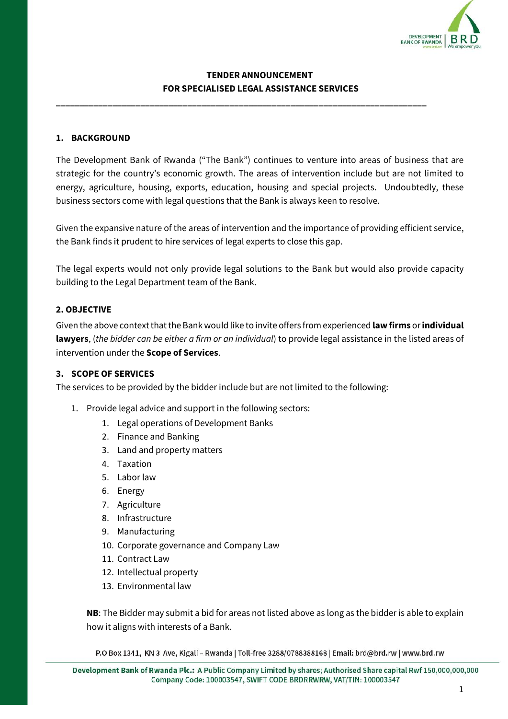

# **TENDER ANNOUNCEMENT FOR SPECIALISED LEGAL ASSISTANCE SERVICES**

**\_\_\_\_\_\_\_\_\_\_\_\_\_\_\_\_\_\_\_\_\_\_\_\_\_\_\_\_\_\_\_\_\_\_\_\_\_\_\_\_\_\_\_\_\_\_\_\_\_\_\_\_\_\_\_\_\_\_\_\_\_\_\_\_\_\_\_\_\_\_\_\_\_\_\_\_\_\_\_**

## **1. BACKGROUND**

The Development Bank of Rwanda ("The Bank") continues to venture into areas of business that are strategic for the country's economic growth. The areas of intervention include but are not limited to energy, agriculture, housing, exports, education, housing and special projects. Undoubtedly, these business sectors come with legal questions that the Bank is always keen to resolve.

Given the expansive nature of the areas of intervention and the importance of providing efficient service, the Bank finds it prudent to hire services of legal experts to close this gap.

The legal experts would not only provide legal solutions to the Bank but would also provide capacity building to the Legal Department team of the Bank.

## **2. OBJECTIVE**

Given the above context that the Bank would like to invite offers from experienced **lawfirms** or **individual lawyers**, (*the bidder can be either a firm or an individual*) to provide legal assistance in the listed areas of intervention under the **Scope of Services**.

## **3. SCOPE OF SERVICES**

The services to be provided by the bidder include but are not limited to the following:

- 1. Provide legal advice and support in the following sectors:
	- 1. Legal operations of Development Banks
	- 2. Finance and Banking
	- 3. Land and property matters
	- 4. Taxation
	- 5. Labor law
	- 6. Energy
	- 7. Agriculture
	- 8. Infrastructure
	- 9. Manufacturing
	- 10. Corporate governance and Company Law
	- 11. Contract Law
	- 12. Intellectual property
	- 13. Environmental law

**NB**: The Bidder may submit a bid for areas not listed above as long as the bidder is able to explain how it aligns with interests of a Bank.

P.O Box 1341, KN 3 Ave, Kigali - Rwanda | Toll-free 3288/0788388168 | Email: brd@brd.rw | www.brd.rw

Development Bank of Rwanda Plc.: A Public Company Limited by shares; Authorised Share capital Rwf 150,000,000,000 Company Code: 100003547, SWIFT CODE BRDRRWRW, VAT/TIN: 100003547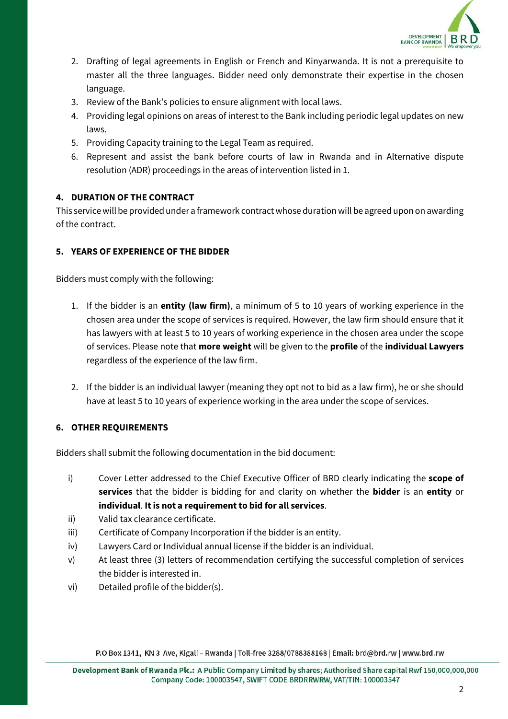

- 2. Drafting of legal agreements in English or French and Kinyarwanda. It is not a prerequisite to master all the three languages. Bidder need only demonstrate their expertise in the chosen language.
- 3. Review of the Bank's policies to ensure alignment with local laws.
- 4. Providing legal opinions on areas of interest to the Bank including periodic legal updates on new laws.
- 5. Providing Capacity training to the Legal Team as required.
- 6. Represent and assist the bank before courts of law in Rwanda and in Alternative dispute resolution (ADR) proceedings in the areas of intervention listed in 1.

# **4. DURATION OF THE CONTRACT**

This service will be provided under a framework contract whose duration will be agreed upon on awarding of the contract.

# **5. YEARS OF EXPERIENCE OF THE BIDDER**

Bidders must comply with the following:

- 1. If the bidder is an **entity (law firm)**, a minimum of 5 to 10 years of working experience in the chosen area under the scope of services is required. However, the law firm should ensure that it has lawyers with at least 5 to 10 years of working experience in the chosen area under the scope of services. Please note that **more weight** will be given to the **profile** of the **individual Lawyers** regardless of the experience of the law firm.
- 2. If the bidder is an individual lawyer (meaning they opt not to bid as a law firm), he or she should have at least 5 to 10 years of experience working in the area under the scope of services.

## **6. OTHER REQUIREMENTS**

Bidders shall submit the following documentation in the bid document:

- i) Cover Letter addressed to the Chief Executive Officer of BRD clearly indicating the **scope of services** that the bidder is bidding for and clarity on whether the **bidder** is an **entity** or **individual**. **It is not a requirement to bid for all services**.
- ii) Valid tax clearance certificate.
- iii) Certificate of Company Incorporation if the bidder is an entity.
- iv) Lawyers Card or Individual annual license if the bidder is an individual.
- v) At least three (3) letters of recommendation certifying the successful completion of services the bidder is interested in.
- vi) Detailed profile of the bidder(s).